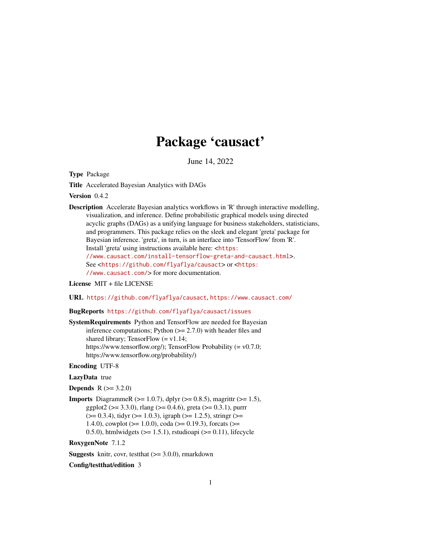# Package 'causact'

June 14, 2022

Type Package

Title Accelerated Bayesian Analytics with DAGs

Version 0.4.2

Description Accelerate Bayesian analytics workflows in 'R' through interactive modelling, visualization, and inference. Define probabilistic graphical models using directed acyclic graphs (DAGs) as a unifying language for business stakeholders, statisticians, and programmers. This package relies on the sleek and elegant 'greta' package for Bayesian inference. 'greta', in turn, is an interface into 'TensorFlow' from 'R'. Install 'greta' using instructions available here: <[https:](https://www.causact.com/install-tensorflow-greta-and-causact.html) [//www.causact.com/install-tensorflow-greta-and-causact.html](https://www.causact.com/install-tensorflow-greta-and-causact.html)>. See <<https://github.com/flyaflya/causact>> or <[https:](https://www.causact.com/) [//www.causact.com/](https://www.causact.com/)> for more documentation.

License MIT + file LICENSE

URL <https://github.com/flyaflya/causact>, <https://www.causact.com/>

#### BugReports <https://github.com/flyaflya/causact/issues>

SystemRequirements Python and TensorFlow are needed for Bayesian inference computations; Python  $(>= 2.7.0)$  with header files and shared library; TensorFlow  $(= v1.14;$ https://www.tensorflow.org/); TensorFlow Probability (= v0.7.0; https://www.tensorflow.org/probability/)

Encoding UTF-8

#### LazyData true

**Depends**  $R (= 3.2.0)$ 

**Imports** DiagrammeR ( $>= 1.0.7$ ), dplyr ( $>= 0.8.5$ ), magrittr ( $>= 1.5$ ), ggplot2 ( $> = 3.3.0$ ), rlang ( $> = 0.4.6$ ), greta ( $> = 0.3.1$ ), purrr  $(>= 0.3.4)$ , tidyr  $(>= 1.0.3)$ , igraph  $(>= 1.2.5)$ , stringr  $(>= 1.2.5)$ 1.4.0), cowplot ( $>= 1.0.0$ ), coda ( $>= 0.19.3$ ), forcats ( $>=$ 0.5.0), htmlwidgets  $(>= 1.5.1)$ , rstudioapi  $(>= 0.11)$ , lifecycle

RoxygenNote 7.1.2

**Suggests** knitr, covr, test that  $(>= 3.0.0)$ , rmarkdown

Config/testthat/edition 3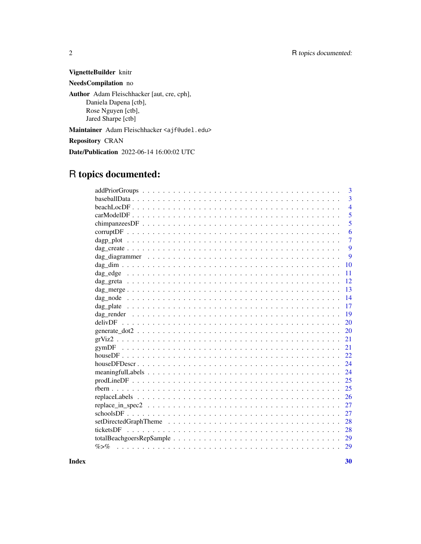# VignetteBuilder knitr

NeedsCompilation no

Author Adam Fleischhacker [aut, cre, cph], Daniela Dapena [ctb], Rose Nguyen [ctb], Jared Sharpe [ctb]

Maintainer Adam Fleischhacker <ajf@udel.edu>

Repository CRAN

Date/Publication 2022-06-14 16:00:02 UTC

# R topics documented:

| 3              |
|----------------|
| $\overline{3}$ |
| $\overline{4}$ |
| 5              |
| 5              |
| 6              |
| $\overline{7}$ |
| 9              |
| 9              |
| 10             |
| 11             |
| 12             |
| 13             |
| 14             |
| 17             |
| 19             |
| 20             |
| 20             |
| 21             |
| 21             |
| 22             |
| 24             |
| 24             |
| 25             |
| 25             |
| 26             |
| 27             |
| 27             |
| 28             |
| 28             |
| 29             |
| 29             |

 $\bf 30$  $\bf 30$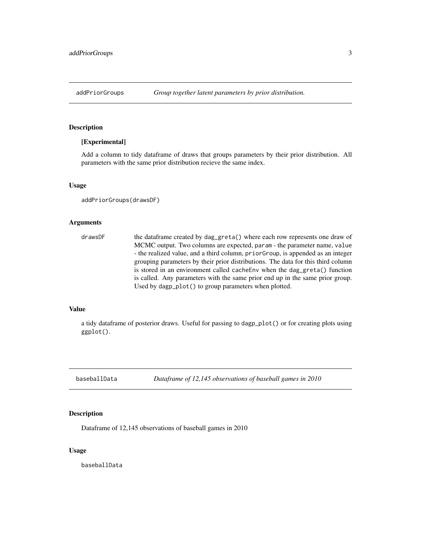<span id="page-2-0"></span>

# [Experimental]

Add a column to tidy dataframe of draws that groups parameters by their prior distribution. All parameters with the same prior distribution recieve the same index.

# Usage

```
addPriorGroups(drawsDF)
```
# Arguments

drawsDF the dataframe created by dag\_greta() where each row represents one draw of MCMC output. Two columns are expected, param - the parameter name, value - the realized value, and a third column, priorGroup, is appended as an integer grouping parameters by their prior distributions. The data for this third column is stored in an environment called cacheEnv when the dag\_greta() function is called. Any parameters with the same prior end up in the same prior group. Used by dagp\_plot() to group parameters when plotted.

# Value

a tidy dataframe of posterior draws. Useful for passing to dagp\_plot() or for creating plots using ggplot().

baseballData *Dataframe of 12,145 observations of baseball games in 2010*

#### Description

Dataframe of 12,145 observations of baseball games in 2010

#### Usage

baseballData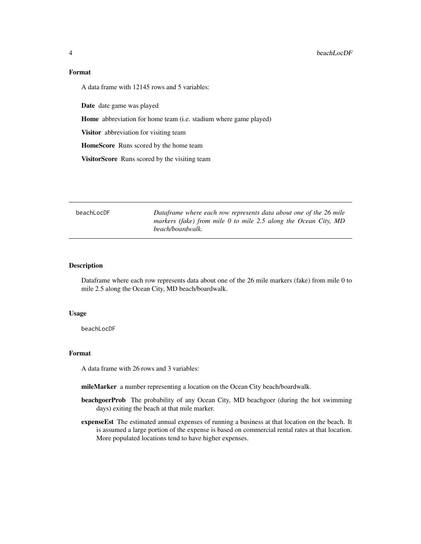#### 4 beachLocDF

# Format

A data frame with 12145 rows and 5 variables:

Date date game was played

Home abbreviation for home team (i.e. stadium where game played)

Visitor abbreviation for visiting team

HomeScore Runs scored by the home team

VisitorScore Runs scored by the visiting team

beachLocDF *Dataframe where each row represents data about one of the 26 mile markers (fake) from mile 0 to mile 2.5 along the Ocean City, MD beach/boardwalk.*

# Description

Dataframe where each row represents data about one of the 26 mile markers (fake) from mile 0 to mile 2.5 along the Ocean City, MD beach/boardwalk.

#### Usage

beachLocDF

# Format

A data frame with 26 rows and 3 variables:

- mileMarker a number representing a location on the Ocean City beach/boardwalk.
- beachgoerProb The probability of any Ocean City, MD beachgoer (during the hot swimming days) exiting the beach at that mile marker.
- expenseEst The estimated annual expenses of running a business at that location on the beach. It is assumed a large portion of the expense is based on commercial rental rates at that location. More populated locations tend to have higher expenses.

<span id="page-3-0"></span>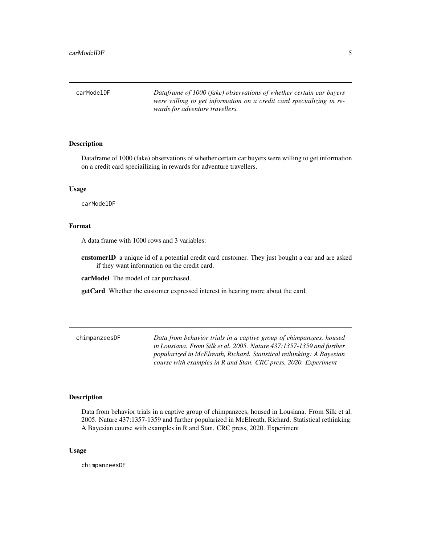<span id="page-4-0"></span>carModelDF *Dataframe of 1000 (fake) observations of whether certain car buyers were willing to get information on a credit card speciailizing in rewards for adventure travellers.*

#### Description

Dataframe of 1000 (fake) observations of whether certain car buyers were willing to get information on a credit card speciailizing in rewards for adventure travellers.

#### Usage

carModelDF

# Format

A data frame with 1000 rows and 3 variables:

customerID a unique id of a potential credit card customer. They just bought a car and are asked if they want information on the credit card.

carModel The model of car purchased.

getCard Whether the customer expressed interest in hearing more about the card.

chimpanzeesDF *Data from behavior trials in a captive group of chimpanzees, housed in Lousiana. From Silk et al. 2005. Nature 437:1357-1359 and further popularized in McElreath, Richard. Statistical rethinking: A Bayesian course with examples in R and Stan. CRC press, 2020. Experiment*

## Description

Data from behavior trials in a captive group of chimpanzees, housed in Lousiana. From Silk et al. 2005. Nature 437:1357-1359 and further popularized in McElreath, Richard. Statistical rethinking: A Bayesian course with examples in R and Stan. CRC press, 2020. Experiment

#### Usage

chimpanzeesDF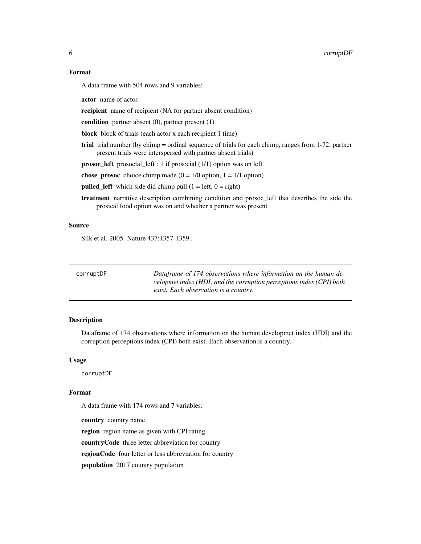#### <span id="page-5-0"></span>6 corruptDF

# Format

A data frame with 504 rows and 9 variables:

actor name of actor

recipient name of recipient (NA for partner absent condition)

condition partner absent  $(0)$ , partner present  $(1)$ 

block block of trials (each actor x each recipient 1 time)

trial trial number (by chimp = ordinal sequence of trials for each chimp, ranges from 1-72; partner present trials were interspersed with partner absent trials)

prosoc\_left prosocial\_left : 1 if prosocial (1/1) option was on left

**chose\_prosoc** choice chimp made  $(0 = 1/0$  option,  $1 = 1/1$  option)

**pulled\_left** which side did chimp pull  $(1 = left, 0 = right)$ 

treatment narrative description combining condition and prosoc\_left that describes the side the prosical food option was on and whether a partner was present

# Source

Silk et al. 2005. Nature 437:1357-1359..

| corruptDF | Dataframe of 174 observations where information on the human de-     |
|-----------|----------------------------------------------------------------------|
|           | velopmet index (HDI) and the corruption perceptions index (CPI) both |
|           | exist. Each observation is a country.                                |

# Description

Dataframe of 174 observations where information on the human developmet index (HDI) and the corruption perceptions index (CPI) both exist. Each observation is a country.

#### Usage

corruptDF

# Format

A data frame with 174 rows and 7 variables:

country country name region region name as given with CPI rating countryCode three letter abbreviation for country regionCode four letter or less abbreviation for country population 2017 country population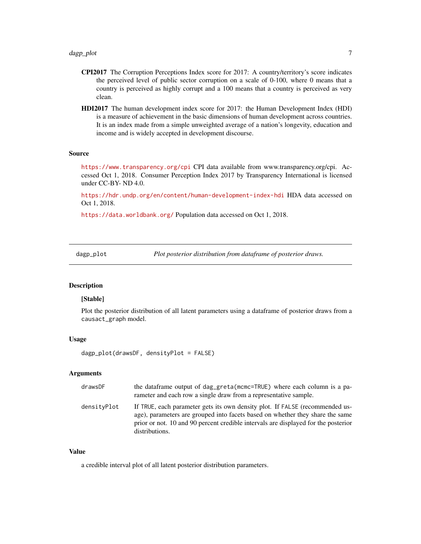- <span id="page-6-0"></span>CPI2017 The Corruption Perceptions Index score for 2017: A country/territory's score indicates the perceived level of public sector corruption on a scale of 0-100, where 0 means that a country is perceived as highly corrupt and a 100 means that a country is perceived as very clean.
- HDI2017 The human development index score for 2017: the Human Development Index (HDI) is a measure of achievement in the basic dimensions of human development across countries. It is an index made from a simple unweighted average of a nation's longevity, education and income and is widely accepted in development discourse.

#### Source

<https://www.transparency.org/cpi> CPI data available from www.transparency.org/cpi. Accessed Oct 1, 2018. Consumer Perception Index 2017 by Transparency International is licensed under CC-BY- ND 4.0.

<https://hdr.undp.org/en/content/human-development-index-hdi> HDA data accessed on Oct 1, 2018.

<https://data.worldbank.org/> Population data accessed on Oct 1, 2018.

dagp\_plot *Plot posterior distribution from dataframe of posterior draws.*

#### Description

#### [Stable]

Plot the posterior distribution of all latent parameters using a dataframe of posterior draws from a causact\_graph model.

# Usage

dagp\_plot(drawsDF, densityPlot = FALSE)

#### Arguments

| drawsDF     | the dataframe output of dag_greta(mcmc=TRUE) where each column is a pa-<br>rameter and each row a single draw from a representative sample.                                                                                                                           |
|-------------|-----------------------------------------------------------------------------------------------------------------------------------------------------------------------------------------------------------------------------------------------------------------------|
| densityPlot | If TRUE, each parameter gets its own density plot. If FALSE (recommended us-<br>age), parameters are grouped into facets based on whether they share the same<br>prior or not. 10 and 90 percent credible intervals are displayed for the posterior<br>distributions. |

#### Value

a credible interval plot of all latent posterior distribution parameters.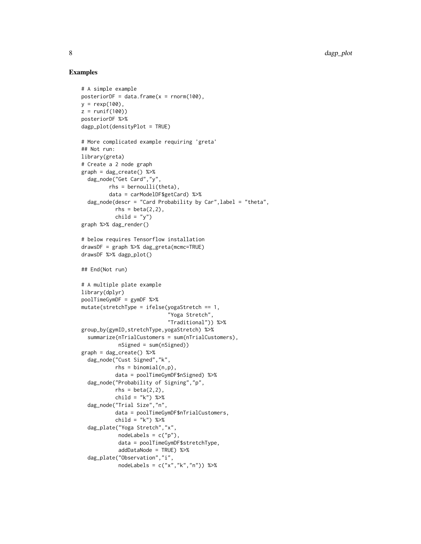# Examples

```
# A simple example
posteriorDF = data.frame(x = rnorm(100),
y = \text{resp}(100),
z = runif(100)posteriorDF %>%
dagp_plot(densityPlot = TRUE)
# More complicated example requiring 'greta'
## Not run:
library(greta)
# Create a 2 node graph
graph = dag_create() %>%
  dag_node("Get Card","y",
         rhs = bernoulli(theta),
         data = carModelDF$getCard) %>%
  dag_node(descr = "Card Probability by Car",label = "theta",
           rhs = beta(2, 2),
           child = "y")graph %>% dag_render()
# below requires Tensorflow installation
drawsDF = graph %>% dag_greta(mcmc=TRUE)
drawsDF %>% dagp_plot()
## End(Not run)
# A multiple plate example
library(dplyr)
poolTimeGymDF = gymDF %>%
mutate(stretchType = ifelse(yogaStretch == 1,
                             "Yoga Stretch",
                             "Traditional")) %>%
group_by(gymID,stretchType,yogaStretch) %>%
  summarize(nTrialCustomers = sum(nTrialCustomers),
            nSigned = sum(nSigned))
graph = dag_create() %>%
  dag_node("Cust Signed","k",
           rhs = binomial(n,p),
           data = poolTimeGymDF$nSigned) %>%
  dag_node("Probability of Signing","p",
           rhs = beta(2,2),
           child = "k") %>%
  dag_node("Trial Size","n",
           data = poolTimeGymDF$nTrialCustomers,
           child = "k") %>%
  dag_plate("Yoga Stretch","x",
            nodeLabels = c("p"),
            data = poolTimeGymDF$stretchType,
            addDataNode = TRUE) %>%
  dag_plate("Observation","i",
            nodeLabels = c("x", "k", "n") %>%
```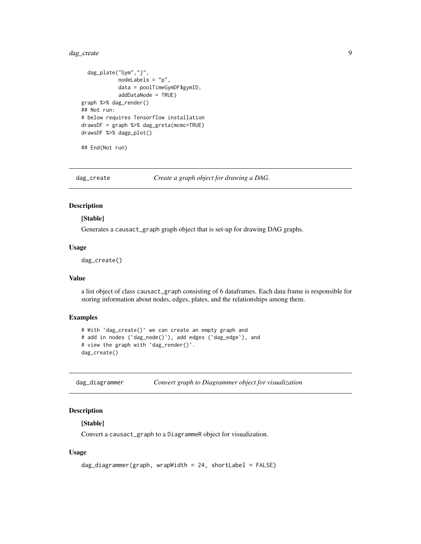# <span id="page-8-0"></span>dag\_create 9

```
dag_plate("Gym","j",
            nodeLabels = "p",
            data = poolTimeGymDF$gymID,
            addDataNode = TRUE)
graph %>% dag_render()
## Not run:
# below requires Tensorflow installation
drawsDF = graph %>% dag_greta(mcmc=TRUE)
drawsDF %>% dagp_plot()
```
## End(Not run)

dag\_create *Create a graph object for drawing a DAG.*

## Description

#### [Stable]

Generates a causact\_graph graph object that is set-up for drawing DAG graphs.

#### Usage

dag\_create()

#### Value

a list object of class causact\_graph consisting of 6 dataframes. Each data frame is responsible for storing information about nodes, edges, plates, and the relationships among them.

# Examples

```
# With `dag_create()` we can create an empty graph and
# add in nodes (`dag_node()`), add edges (`dag_edge`), and
# view the graph with 'dag_render()'.
dag_create()
```
dag\_diagrammer *Convert graph to Diagrammer object for visualization*

# Description

# [Stable]

Convert a causact\_graph to a DiagrammeR object for visualization.

#### Usage

```
dag_diagrammer(graph, wrapWidth = 24, shortLabel = FALSE)
```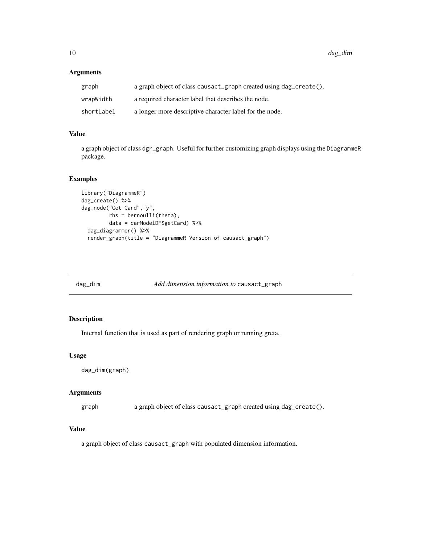<span id="page-9-0"></span>10 dag\_dim

# Arguments

| graph      | a graph object of class causact_graph created using dag_create(). |
|------------|-------------------------------------------------------------------|
| wrapWidth  | a required character label that describes the node.               |
| shortLabel | a longer more descriptive character label for the node.           |

# Value

a graph object of class dgr\_graph. Useful for further customizing graph displays using the DiagrammeR package.

# Examples

```
library("DiagrammeR")
dag_create() %>%
dag_node("Get Card","y",
        rhs = bernoulli(theta),
        data = carModelDF$getCard) %>%
 dag_diagrammer() %>%
 render_graph(title = "DiagrammeR Version of causact_graph")
```
dag\_dim *Add dimension information to* causact\_graph

# Description

Internal function that is used as part of rendering graph or running greta.

## Usage

```
dag_dim(graph)
```
# Arguments

graph a graph object of class causact\_graph created using dag\_create().

# Value

a graph object of class causact\_graph with populated dimension information.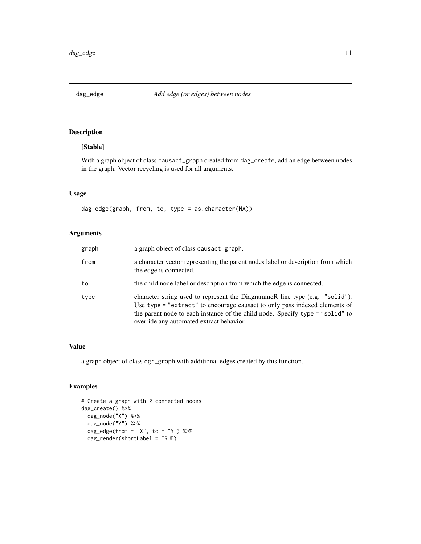<span id="page-10-0"></span>

# [Stable]

With a graph object of class causact\_graph created from dag\_create, add an edge between nodes in the graph. Vector recycling is used for all arguments.

# Usage

dag\_edge(graph, from, to, type = as.character(NA))

# Arguments

| graph | a graph object of class causact_graph.                                                                                                                                                                                                                                                 |
|-------|----------------------------------------------------------------------------------------------------------------------------------------------------------------------------------------------------------------------------------------------------------------------------------------|
| from  | a character vector representing the parent nodes label or description from which<br>the edge is connected.                                                                                                                                                                             |
| to    | the child node label or description from which the edge is connected.                                                                                                                                                                                                                  |
| type  | character string used to represent the DiagrammeR line type (e.g. "solid").<br>Use type = "extract" to encourage causact to only pass indexed elements of<br>the parent node to each instance of the child node. Specify type = "solid" to<br>override any automated extract behavior. |

## Value

a graph object of class dgr\_graph with additional edges created by this function.

# Examples

```
# Create a graph with 2 connected nodes
dag_create() %>%
 dag_node("X") %>%
 dag_node("Y") %>%
 dag\_edge(from = "X", to = "Y") %>%
 dag_render(shortLabel = TRUE)
```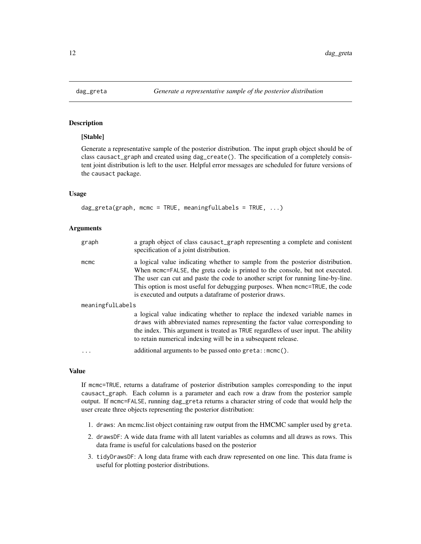<span id="page-11-0"></span>

# [Stable]

Generate a representative sample of the posterior distribution. The input graph object should be of class causact\_graph and created using dag\_create(). The specification of a completely consistent joint distribution is left to the user. Helpful error messages are scheduled for future versions of the causact package.

#### Usage

```
dag_greta(graph, mcmc = TRUE, meaningfulLabels = TRUE, ...)
```
#### Arguments

| graph            | a graph object of class causact_graph representing a complete and conistent<br>specification of a joint distribution.                                                                                                                                                                                                                                                                      |  |
|------------------|--------------------------------------------------------------------------------------------------------------------------------------------------------------------------------------------------------------------------------------------------------------------------------------------------------------------------------------------------------------------------------------------|--|
| mcmc             | a logical value indicating whether to sample from the posterior distribution.<br>When mcmc=FALSE, the greta code is printed to the console, but not executed.<br>The user can cut and paste the code to another script for running line-by-line.<br>This option is most useful for debugging purposes. When mcmc=TRUE, the code<br>is executed and outputs a dataframe of posterior draws. |  |
| meaningfulLabels |                                                                                                                                                                                                                                                                                                                                                                                            |  |
|                  | a logical value indicating whether to replace the indexed variable names in<br>draws with abbreviated names representing the factor value corresponding to<br>the index. This argument is treated as TRUE regardless of user input. The ability<br>to retain numerical indexing will be in a subsequent release.                                                                           |  |
| $\ddots$         | additional arguments to be passed onto $g$ reta:: $m$ cmc $()$ .                                                                                                                                                                                                                                                                                                                           |  |

#### Value

If mcmc=TRUE, returns a dataframe of posterior distribution samples corresponding to the input causact\_graph. Each column is a parameter and each row a draw from the posterior sample output. If mcmc=FALSE, running dag\_greta returns a character string of code that would help the user create three objects representing the posterior distribution:

- 1. draws: An mcmc.list object containing raw output from the HMCMC sampler used by greta.
- 2. drawsDF: A wide data frame with all latent variables as columns and all draws as rows. This data frame is useful for calculations based on the posterior
- 3. tidyDrawsDF: A long data frame with each draw represented on one line. This data frame is useful for plotting posterior distributions.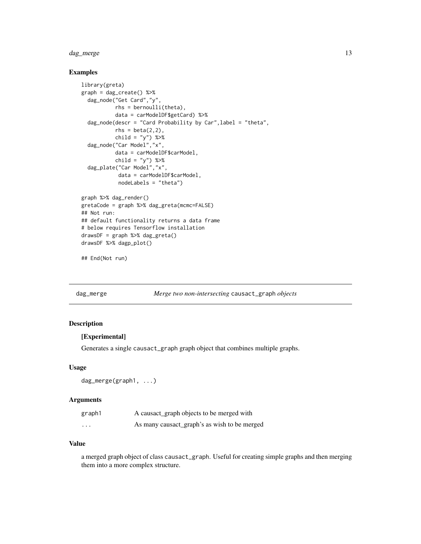# <span id="page-12-0"></span>dag\_merge 13

# Examples

```
library(greta)
graph = dag\_create() %>%
 dag_node("Get Card","y",
          rhs = bernoulli(theta),
          data = carModelDF$getCard) %>%
 dag_node(descr = "Card Probability by Car",label = "theta",
          rhs = beta(2, 2),
          child = "y") %>%
 dag_node("Car Model","x",
          data = carModelDF$carModel,
          child = "y") %>%
 dag_plate("Car Model","x",
           data = carModelDF$carModel,
            nodeLabels = "theta")
graph %>% dag_render()
gretaCode = graph %>% dag_greta(mcmc=FALSE)
## Not run:
## default functionality returns a data frame
# below requires Tensorflow installation
drawsDF = graph % > % diag\_greta()drawsDF %>% dagp_plot()
```

```
## End(Not run)
```
dag\_merge *Merge two non-intersecting* causact\_graph *objects*

# Description

### [Experimental]

Generates a single causact\_graph graph object that combines multiple graphs.

#### Usage

```
dag_merge(graph1, ...)
```
# Arguments

| graph1   | A causact_graph objects to be merged with    |
|----------|----------------------------------------------|
| $\cdots$ | As many causact_graph's as wish to be merged |

#### Value

a merged graph object of class causact\_graph. Useful for creating simple graphs and then merging them into a more complex structure.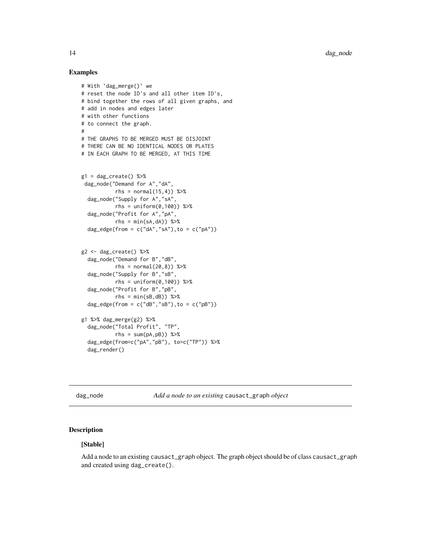#### Examples

```
# With `dag_merge()` we
# reset the node ID's and all other item ID's,
# bind together the rows of all given graphs, and
# add in nodes and edges later
# with other functions
# to connect the graph.
#
# THE GRAPHS TO BE MERGED MUST BE DISJOINT
# THERE CAN BE NO IDENTICAL NODES OR PLATES
# IN EACH GRAPH TO BE MERGED, AT THIS TIME
g1 = dag\_create() %>%
 dag_node("Demand for A","dA",
           rhs = normal(15, 4) %>%
  dag_node("Supply for A","sA",
           rhs = uniform(0,100) %>%
  dag_node("Profit for A","pA",
           rhs = min(sA, dA)) %>%
  dag_edge(from = c("dA", "sA"), to = c("pA"))
g2 \leftarrow dag\_create() %>%
  dag_node("Demand for B","dB",
           rhs = normal(20, 8) %>%
  dag_node("Supply for B","sB",
           rhs = uniform(0,100) %>%
  dag_node("Profit for B","pB",
           rhs = min(sB, dB)) %>%
  dag_edge(from = c("dB", "SB"), to = c("pB"))
g1 %>% dag_merge(g2) %>%
  dag_node("Total Profit", "TP",
           rhs = sum(pA, pB)) %>%
  dag_edge(from=c("pA","pB"), to=c("TP")) %>%
  dag_render()
```
dag\_node *Add a node to an existing* causact\_graph *object*

# Description

# [Stable]

Add a node to an existing causact\_graph object. The graph object should be of class causact\_graph and created using dag\_create().

<span id="page-13-0"></span>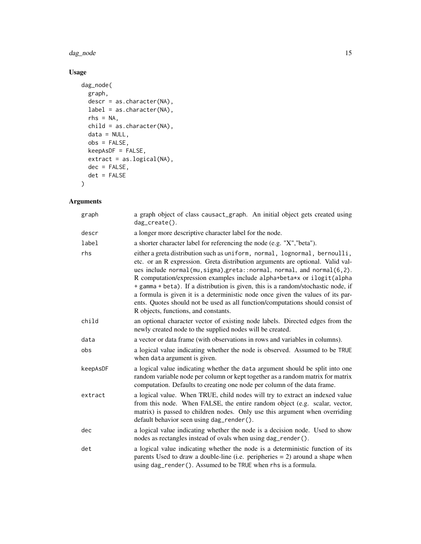#### dag\_node 15

# Usage

```
dag_node(
 graph,
 descr = as.character(NA),
 label = as.character(NA),
 rhs = NA,
 child = as.character(NA),
 data = NULL,obs = FALSE,keepAsDF = FALSE,extract = as.logical(NA),
 dec = FALSE,
 det = FALSE
\mathcal{L}
```
# Arguments

| graph    | a graph object of class causact_graph. An initial object gets created using<br>dag_create().                                                                                                                                                                                                                                                                                                                                                                                                                                                                                                                        |
|----------|---------------------------------------------------------------------------------------------------------------------------------------------------------------------------------------------------------------------------------------------------------------------------------------------------------------------------------------------------------------------------------------------------------------------------------------------------------------------------------------------------------------------------------------------------------------------------------------------------------------------|
| descr    | a longer more descriptive character label for the node.                                                                                                                                                                                                                                                                                                                                                                                                                                                                                                                                                             |
| label    | a shorter character label for referencing the node (e.g. "X", "beta").                                                                                                                                                                                                                                                                                                                                                                                                                                                                                                                                              |
| rhs      | either a greta distribution such as uniform, normal, lognormal, bernoulli,<br>etc. or an R expression. Greta distribution arguments are optional. Valid val-<br>ues include normal(mu, sigma), greta:: normal, normal, and normal(6,2).<br>R computation/expression examples include alpha+beta*x or ilogit(alpha<br>+ gamma + beta). If a distribution is given, this is a random/stochastic node, if<br>a formula is given it is a deterministic node once given the values of its par-<br>ents. Quotes should not be used as all function/computations should consist of<br>R objects, functions, and constants. |
| child    | an optional character vector of existing node labels. Directed edges from the<br>newly created node to the supplied nodes will be created.                                                                                                                                                                                                                                                                                                                                                                                                                                                                          |
| data     | a vector or data frame (with observations in rows and variables in columns).                                                                                                                                                                                                                                                                                                                                                                                                                                                                                                                                        |
| obs      | a logical value indicating whether the node is observed. Assumed to be TRUE<br>when data argument is given.                                                                                                                                                                                                                                                                                                                                                                                                                                                                                                         |
| keepAsDF | a logical value indicating whether the data argument should be split into one<br>random variable node per column or kept together as a random matrix for matrix<br>computation. Defaults to creating one node per column of the data frame.                                                                                                                                                                                                                                                                                                                                                                         |
| extract  | a logical value. When TRUE, child nodes will try to extract an indexed value<br>from this node. When FALSE, the entire random object (e.g. scalar, vector,<br>matrix) is passed to children nodes. Only use this argument when overriding<br>default behavior seen using dag_render().                                                                                                                                                                                                                                                                                                                              |
| dec      | a logical value indicating whether the node is a decision node. Used to show<br>nodes as rectangles instead of ovals when using dag_render().                                                                                                                                                                                                                                                                                                                                                                                                                                                                       |
| det      | a logical value indicating whether the node is a deterministic function of its<br>parents Used to draw a double-line (i.e. peripheries $= 2$ ) around a shape when<br>using dag_render(). Assumed to be TRUE when rhs is a formula.                                                                                                                                                                                                                                                                                                                                                                                 |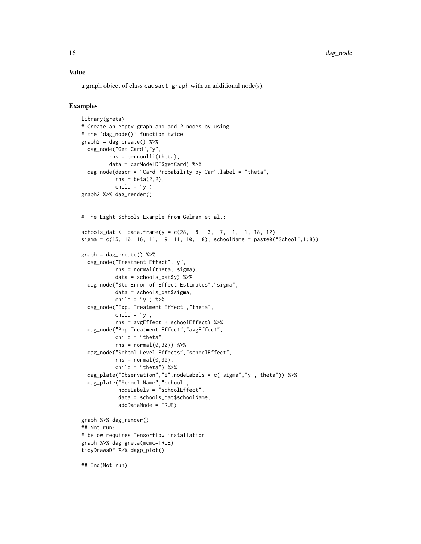#### Value

a graph object of class causact\_graph with an additional node(s).

# Examples

```
library(greta)
# Create an empty graph and add 2 nodes by using
# the `dag_node()` function twice
graph2 = dag\_create() %>%
 dag_node("Get Card","y",
        rhs = bernoulli(theta),
         data = carModelDF$getCard) %>%
 dag_node(descr = "Card Probability by Car",label = "theta",
          rhs = beta(2, 2),
           child = "y")graph2 %>% dag_render()
# The Eight Schools Example from Gelman et al.:
schools_dat <- data.frame(y = c(28, 8, -3, 7, -1, 1, 18, 12),
sigma = c(15, 10, 16, 11, 9, 11, 10, 18), schoolName = paste0("School",1:8))
graph = dag_create() %>%
 dag_node("Treatment Effect","y",
           rhs = normal(theta, sigma),
           data = schools_dat$y) %>%
 dag_node("Std Error of Effect Estimates","sigma",
          data = schools_dat$sigma,
           child = "y") %>%
 dag_node("Exp. Treatment Effect","theta",
           child = "y",rhs = avgEffect + schoolEffect) %>%
 dag_node("Pop Treatment Effect","avgEffect",
           child = "theta",rhs = normal(0, 30) %>%
 dag_node("School Level Effects","schoolEffect",
           rhs = normal(0, 30),
           child = "theta") %>%
 dag_plate("Observation","i",nodeLabels = c("sigma","y","theta")) %>%
 dag_plate("School Name","school",
            nodeLabels = "schoolEffect",
            data = schools_dat$schoolName,
            addDataNode = TRUE)
graph %>% dag_render()
## Not run:
# below requires Tensorflow installation
graph %>% dag_greta(mcmc=TRUE)
tidyDrawsDF %>% dagp_plot()
## End(Not run)
```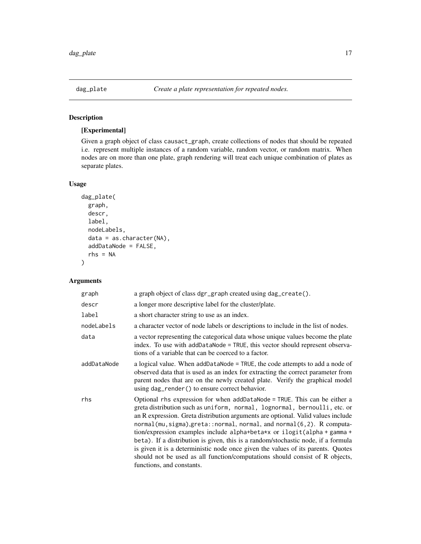# <span id="page-16-0"></span>[Experimental]

Given a graph object of class causact\_graph, create collections of nodes that should be repeated i.e. represent multiple instances of a random variable, random vector, or random matrix. When nodes are on more than one plate, graph rendering will treat each unique combination of plates as separate plates.

# Usage

```
dag_plate(
 graph,
  descr,
  label,
  nodeLabels,
  data = as.character(NA),
  addDataNode = FALSE,
  rhs = NA)
```
# Arguments

| graph       | a graph object of class dgr_graph created using dag_create().                                                                                                                                                                                                                                                                                                                                                                                                                                                                                                                                                                                                                         |
|-------------|---------------------------------------------------------------------------------------------------------------------------------------------------------------------------------------------------------------------------------------------------------------------------------------------------------------------------------------------------------------------------------------------------------------------------------------------------------------------------------------------------------------------------------------------------------------------------------------------------------------------------------------------------------------------------------------|
| descr       | a longer more descriptive label for the cluster/plate.                                                                                                                                                                                                                                                                                                                                                                                                                                                                                                                                                                                                                                |
| label       | a short character string to use as an index.                                                                                                                                                                                                                                                                                                                                                                                                                                                                                                                                                                                                                                          |
| nodeLabels  | a character vector of node labels or descriptions to include in the list of nodes.                                                                                                                                                                                                                                                                                                                                                                                                                                                                                                                                                                                                    |
| data        | a vector representing the categorical data whose unique values become the plate<br>index. To use with addDataNode = TRUE, this vector should represent observa-<br>tions of a variable that can be coerced to a factor.                                                                                                                                                                                                                                                                                                                                                                                                                                                               |
| addDataNode | a logical value. When addDataNode = TRUE, the code attempts to add a node of<br>observed data that is used as an index for extracting the correct parameter from<br>parent nodes that are on the newly created plate. Verify the graphical model<br>using dag_render() to ensure correct behavior.                                                                                                                                                                                                                                                                                                                                                                                    |
| rhs         | Optional rhs expression for when addDataNode = TRUE. This can be either a<br>greta distribution such as uniform, normal, lognormal, bernoulli, etc. or<br>an R expression. Greta distribution arguments are optional. Valid values include<br>normal(mu, sigma), greta:: normal, normal, and normal(6,2). R computa-<br>tion/expression examples include alpha+beta*x or ilogit(alpha + gamma +<br>beta). If a distribution is given, this is a random/stochastic node, if a formula<br>is given it is a deterministic node once given the values of its parents. Quotes<br>should not be used as all function/computations should consist of R objects,<br>functions, and constants. |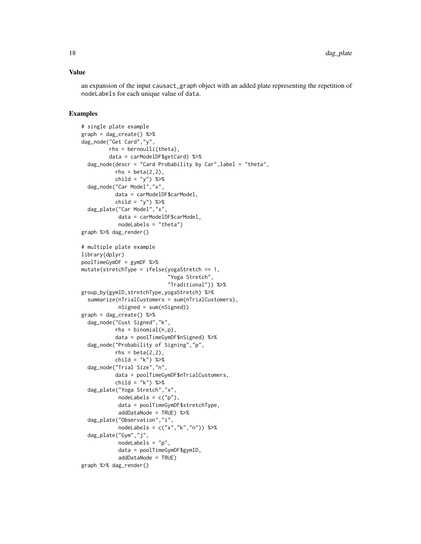#### Value

an expansion of the input causact\_graph object with an added plate representing the repetition of nodeLabels for each unique value of data.

# Examples

```
# single plate example
graph = dag_create() %>%
dag_node("Get Card","y",
        rhs = bernoulli(theta),
         data = carModelDF$getCard) %>%
 dag_node(descr = "Card Probability by Car",label = "theta",
           rhs = beta(2,2),
          child = "y") %>%
 dag_node("Car Model","x",
          data = carModelDF$carModel,
           child = "y") %>%
 dag_plate("Car Model","x",
            data = carModelDF$carModel,
            nodeLabels = "theta")
graph %>% dag_render()
# multiple plate example
library(dplyr)
poolTimeGymDF = gymDF %>%
mutate(stretchType = ifelse(yogaStretch == 1,
                            "Yoga Stretch",
                            "Traditional")) %>%
group_by(gymID,stretchType,yogaStretch) %>%
 summarize(nTrialCustomers = sum(nTrialCustomers),
            nSigned = sum(nSigned))
graph = dag_create() %>%
 dag_node("Cust Signed","k",
           rhs = binomial(n, p),
           data = poolTimeGymDF$nSigned) %>%
 dag_node("Probability of Signing","p",
           rhs = beta(2, 2),
           child = "k") %>%
 dag_node("Trial Size","n",
           data = poolTimeGymDF$nTrialCustomers,
           child = "k") %>%
 dag_plate("Yoga Stretch","x",
            nodeLabels = c("p"),
            data = poolTimeGymDF$stretchType,
            addDataNode = TRUE) %>%
 dag_plate("Observation","i",
            nodeLabels = c("x", "k", "n") %>%
 dag_plate("Gym","j",
            nodeLabels = "p",
            data = poolTimeGymDF$gymID,
            addDataNode = TRUE)
graph %>% dag_render()
```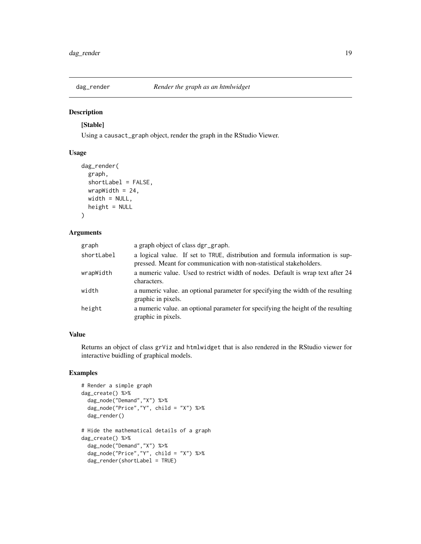<span id="page-18-0"></span>

# [Stable]

Using a causact\_graph object, render the graph in the RStudio Viewer.

# Usage

```
dag_render(
  graph,
  shortLabel = FALSE,
 wrapWidth = 24,
 width = NULL,
  height = NULL)
```
#### Arguments

| graph      | a graph object of class dgr_graph.                                                                                                                   |
|------------|------------------------------------------------------------------------------------------------------------------------------------------------------|
| shortLabel | a logical value. If set to TRUE, distribution and formula information is sup-<br>pressed. Meant for communication with non-statistical stakeholders. |
| wrapWidth  | a numeric value. Used to restrict width of nodes. Default is wrap text after 24<br>characters.                                                       |
| width      | a numeric value. an optional parameter for specifying the width of the resulting<br>graphic in pixels.                                               |
| height     | a numeric value, an optional parameter for specifying the height of the resulting<br>graphic in pixels.                                              |

# Value

Returns an object of class grViz and htmlwidget that is also rendered in the RStudio viewer for interactive buidling of graphical models.

# Examples

```
# Render a simple graph
dag_create() %>%
 dag_node("Demand","X") %>%
 dag_node("Price","Y", child = "X") %>%
 dag_render()
# Hide the mathematical details of a graph
dag_create() %>%
 dag_node("Demand","X") %>%
 dag_node("Price","Y", child = "X") %>%
 dag_render(shortLabel = TRUE)
```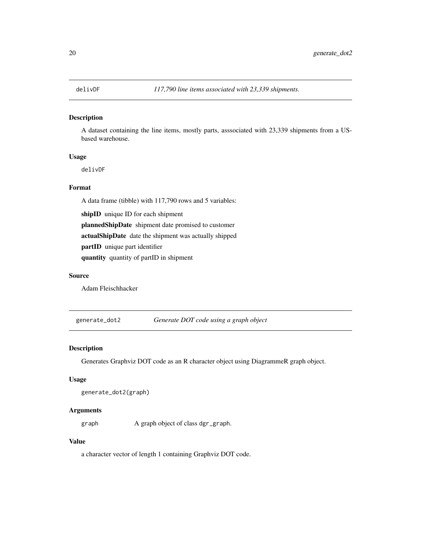<span id="page-19-0"></span>

A dataset containing the line items, mostly parts, asssociated with 23,339 shipments from a USbased warehouse.

#### Usage

delivDF

# Format

A data frame (tibble) with 117,790 rows and 5 variables:

shipID unique ID for each shipment

plannedShipDate shipment date promised to customer

actualShipDate date the shipment was actually shipped

partID unique part identifier

quantity quantity of partID in shipment

# Source

Adam Fleischhacker

generate\_dot2 *Generate DOT code using a graph object*

# Description

Generates Graphviz DOT code as an R character object using DiagrammeR graph object.

# Usage

```
generate_dot2(graph)
```
# Arguments

graph A graph object of class dgr\_graph.

# Value

a character vector of length 1 containing Graphviz DOT code.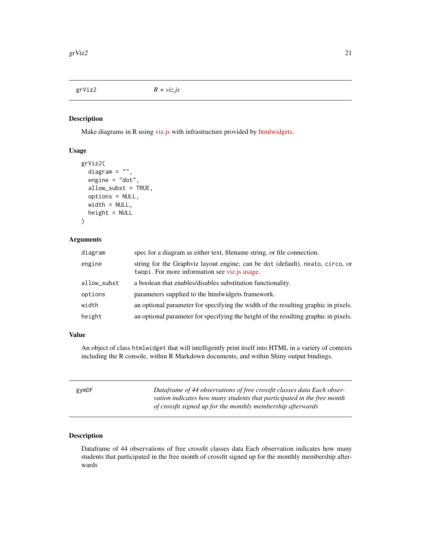<span id="page-20-0"></span>grViz2 *R + viz.js*

# Description

Make diagrams in R using [viz.js](https://github.com/mdaines/viz.js) with infrastructure provided by [htmlwidgets.](http://www.htmlwidgets.org/)

# Usage

```
grViz2(
  diagram = ",
  engine = "dot",
  allow_subst = TRUE,
  options = NULL,
 width = NULL,
  height = NULL)
```
# Arguments

| diagram     | spec for a diagram as either text, filename string, or file connection.                                                        |
|-------------|--------------------------------------------------------------------------------------------------------------------------------|
| engine      | string for the Graphyiz layout engine; can be dot (default), neato, circo, or<br>twopi. For more information see viz.js usage. |
| allow_subst | a boolean that enables/disables substitution functionality.                                                                    |
| options     | parameters supplied to the htmlwidgets framework.                                                                              |
| width       | an optional parameter for specifying the width of the resulting graphic in pixels.                                             |
| height      | an optional parameter for specifying the height of the resulting graphic in pixels.                                            |

#### Value

An object of class htmlwidget that will intelligently print itself into HTML in a variety of contexts including the R console, within R Markdown documents, and within Shiny output bindings.

| gymDF | Dataframe of 44 observations of free crossfit classes data Each obser- |
|-------|------------------------------------------------------------------------|
|       | vation indicates how many students that participated in the free month |
|       | of crossfit signed up for the monthly membership afterwards            |

# Description

Dataframe of 44 observations of free crossfit classes data Each observation indicates how many students that participated in the free month of crossfit signed up for the monthly membership afterwards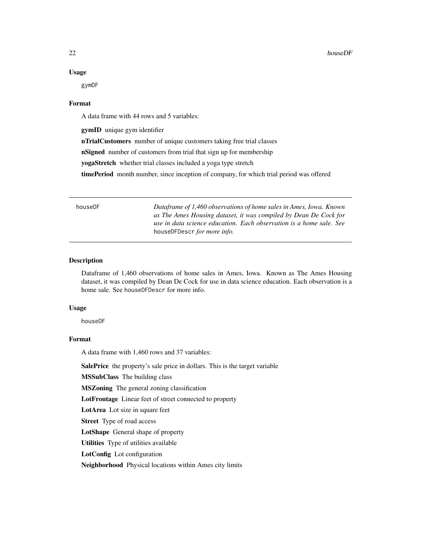# <span id="page-21-0"></span>Usage

gymDF

#### Format

A data frame with 44 rows and 5 variables:

gymID unique gym identifier

nTrialCustomers number of unique customers taking free trial classes

nSigned number of customers from trial that sign up for membership

yogaStretch whether trial classes included a yoga type stretch

timePeriod month number, since inception of company, for which trial period was offered

| houseDF | Dataframe of 1,460 observations of home sales in Ames, Iowa. Known<br>as The Ames Housing dataset, it was compiled by Dean De Cock for<br>use in data science education. Each observation is a home sale. See<br>houseDFDescr for more info. |
|---------|----------------------------------------------------------------------------------------------------------------------------------------------------------------------------------------------------------------------------------------------|
|         |                                                                                                                                                                                                                                              |
|         |                                                                                                                                                                                                                                              |

# **Description**

Dataframe of 1,460 observations of home sales in Ames, Iowa. Known as The Ames Housing dataset, it was compiled by Dean De Cock for use in data science education. Each observation is a home sale. See houseDFDescr for more info.

#### Usage

houseDF

# Format

A data frame with 1,460 rows and 37 variables:

SalePrice the property's sale price in dollars. This is the target variable

MSSubClass The building class

MSZoning The general zoning classification

LotFrontage Linear feet of street connected to property

LotArea Lot size in square feet

Street Type of road access

LotShape General shape of property

Utilities Type of utilities available

LotConfig Lot configuration

Neighborhood Physical locations within Ames city limits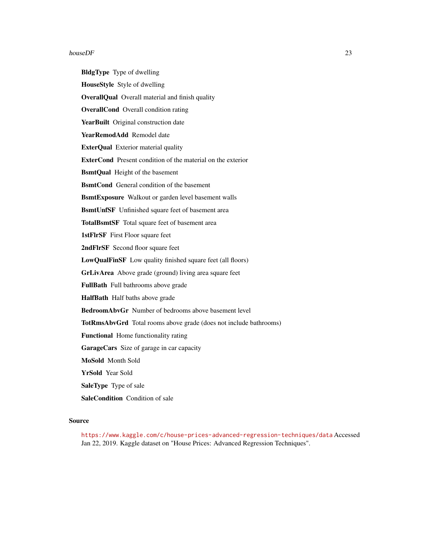#### $houseDF$  23

BldgType Type of dwelling HouseStyle Style of dwelling OverallQual Overall material and finish quality OverallCond Overall condition rating YearBuilt Original construction date YearRemodAdd Remodel date ExterQual Exterior material quality ExterCond Present condition of the material on the exterior BsmtQual Height of the basement BsmtCond General condition of the basement BsmtExposure Walkout or garden level basement walls BsmtUnfSF Unfinished square feet of basement area TotalBsmtSF Total square feet of basement area 1stFlrSF First Floor square feet 2ndFlrSF Second floor square feet LowQualFinSF Low quality finished square feet (all floors) GrLivArea Above grade (ground) living area square feet FullBath Full bathrooms above grade HalfBath Half baths above grade BedroomAbvGr Number of bedrooms above basement level TotRmsAbvGrd Total rooms above grade (does not include bathrooms) Functional Home functionality rating GarageCars Size of garage in car capacity MoSold Month Sold YrSold Year Sold SaleType Type of sale

# SaleCondition Condition of sale

#### Source

<https://www.kaggle.com/c/house-prices-advanced-regression-techniques/data> Accessed Jan 22, 2019. Kaggle dataset on "House Prices: Advanced Regression Techniques".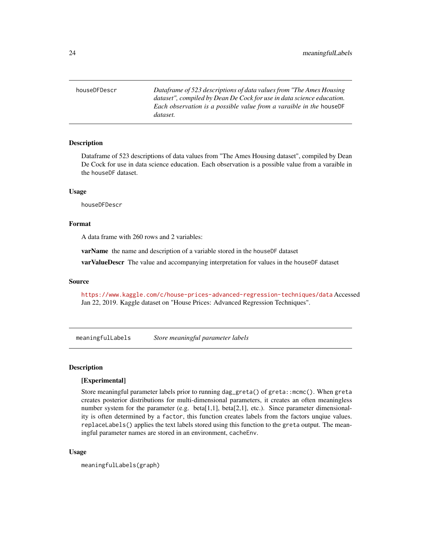<span id="page-23-0"></span>houseDFDescr *Dataframe of 523 descriptions of data values from "The Ames Housing dataset", compiled by Dean De Cock for use in data science education. Each observation is a possible value from a varaible in the* houseDF *dataset.*

#### **Description**

Dataframe of 523 descriptions of data values from "The Ames Housing dataset", compiled by Dean De Cock for use in data science education. Each observation is a possible value from a varaible in the houseDF dataset.

#### Usage

houseDFDescr

# Format

A data frame with 260 rows and 2 variables:

varName the name and description of a variable stored in the houseDF dataset

**varValueDescr** The value and accompanying interpretation for values in the houseDF dataset

# Source

<https://www.kaggle.com/c/house-prices-advanced-regression-techniques/data> Accessed Jan 22, 2019. Kaggle dataset on "House Prices: Advanced Regression Techniques".

meaningfulLabels *Store meaningful parameter labels*

#### Description

## [Experimental]

Store meaningful parameter labels prior to running dag\_greta() of greta::mcmc(). When greta creates posterior distributions for multi-dimensional parameters, it creates an often meaningless number system for the parameter (e.g. beta[1,1], beta[2,1], etc.). Since parameter dimensionality is often determined by a factor, this function creates labels from the factors unqiue values. replaceLabels() applies the text labels stored using this function to the greta output. The meaningful parameter names are stored in an environment, cacheEnv.

#### Usage

```
meaningfulLabels(graph)
```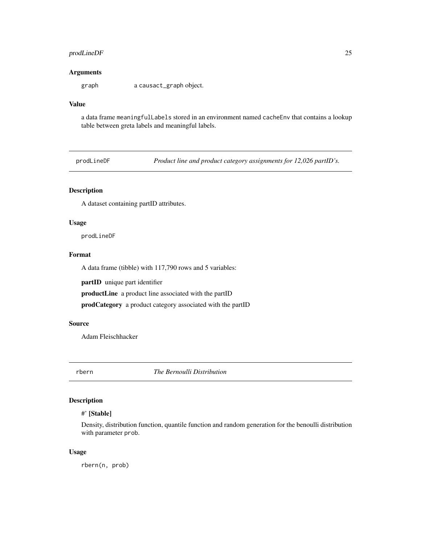## <span id="page-24-0"></span>prodLineDF 25

#### Arguments

graph a causact\_graph object.

# Value

a data frame meaningfulLabels stored in an environment named cacheEnv that contains a lookup table between greta labels and meaningful labels.

prodLineDF *Product line and product category assignments for 12,026 partID's.*

# Description

A dataset containing partID attributes.

# Usage

prodLineDF

# Format

A data frame (tibble) with 117,790 rows and 5 variables:

partID unique part identifier

productLine a product line associated with the partID

prodCategory a product category associated with the partID

#### Source

Adam Fleischhacker

rbern *The Bernoulli Distribution*

# Description

## #' [Stable]

Density, distribution function, quantile function and random generation for the benoulli distribution with parameter prob.

#### Usage

rbern(n, prob)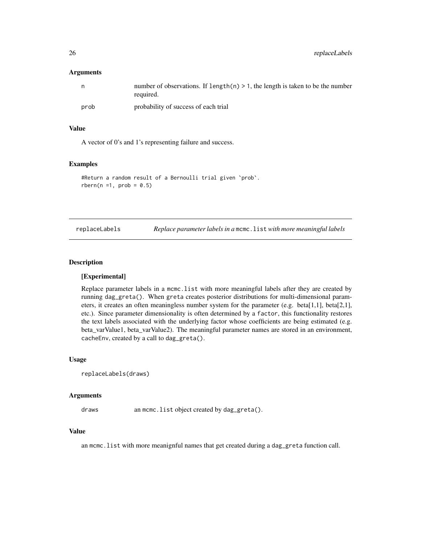#### <span id="page-25-0"></span>**Arguments**

| n    | number of observations. If $length(n) > 1$ , the length is taken to be the number<br>required. |
|------|------------------------------------------------------------------------------------------------|
| prob | probability of success of each trial                                                           |

# Value

A vector of 0's and 1's representing failure and success.

#### Examples

```
#Return a random result of a Bernoulli trial given `prob`.
rbern(n = 1, prob = 0.5)
```

| replaceLabels |  | Replace parameter labels in a mcmc. list with more meaningful labels |  |  |
|---------------|--|----------------------------------------------------------------------|--|--|
|---------------|--|----------------------------------------------------------------------|--|--|

#### Description

#### [Experimental]

Replace parameter labels in a mcmc.list with more meaningful labels after they are created by running dag\_greta(). When greta creates posterior distributions for multi-dimensional parameters, it creates an often meaningless number system for the parameter (e.g. beta[1,1], beta[2,1], etc.). Since parameter dimensionality is often determined by a factor, this functionality restores the text labels associated with the underlying factor whose coefficients are being estimated (e.g. beta\_varValue1, beta\_varValue2). The meaningful parameter names are stored in an environment, cacheEnv, created by a call to dag\_greta().

#### Usage

```
replaceLabels(draws)
```
#### Arguments

draws an mcmc.list object created by dag\_greta().

#### Value

an mcmc.list with more meanignful names that get created during a dag\_greta function call.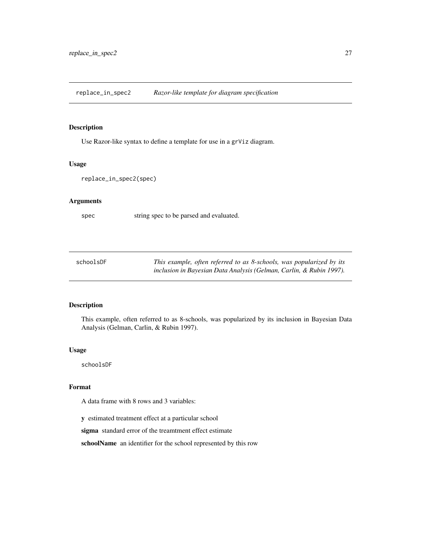<span id="page-26-0"></span>replace\_in\_spec2 *Razor-like template for diagram specification*

# Description

Use Razor-like syntax to define a template for use in a grViz diagram.

## Usage

```
replace_in_spec2(spec)
```
# Arguments

spec string spec to be parsed and evaluated.

| schoolsDF | This example, often referred to as 8-schools, was popularized by its |
|-----------|----------------------------------------------------------------------|
|           | inclusion in Bayesian Data Analysis (Gelman, Carlin, & Rubin 1997).  |

# Description

This example, often referred to as 8-schools, was popularized by its inclusion in Bayesian Data Analysis (Gelman, Carlin, & Rubin 1997).

#### Usage

schoolsDF

# Format

A data frame with 8 rows and 3 variables:

y estimated treatment effect at a particular school

sigma standard error of the treamtment effect estimate

schoolName an identifier for the school represented by this row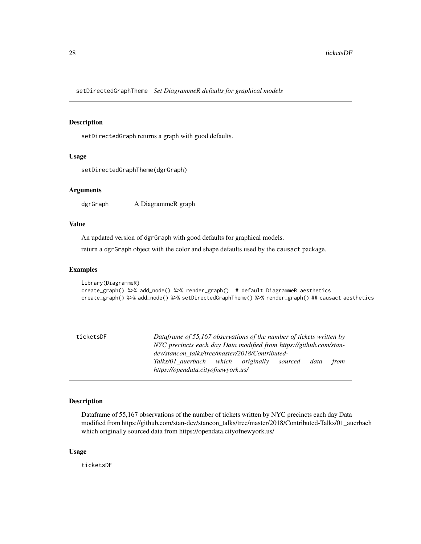<span id="page-27-0"></span>setDirectedGraphTheme *Set DiagrammeR defaults for graphical models*

# Description

setDirectedGraph returns a graph with good defaults.

#### Usage

setDirectedGraphTheme(dgrGraph)

#### Arguments

dgrGraph A DiagrammeR graph

# Value

An updated version of dgrGraph with good defaults for graphical models.

return a dgrGraph object with the color and shape defaults used by the causact package.

#### Examples

```
library(DiagrammeR)
create_graph() %>% add_node() %>% render_graph() # default DiagrammeR aesthetics
create_graph() %>% add_node() %>% setDirectedGraphTheme() %>% render_graph() ## causact aesthetics
```

| ticketsDF | Dataframe of 55,167 observations of the number of tickets written by<br>NYC precincts each day Data modified from https://github.com/stan- |  |  |
|-----------|--------------------------------------------------------------------------------------------------------------------------------------------|--|--|
|           | dev/stancon talks/tree/master/2018/Contributed-                                                                                            |  |  |
|           | Talks/01 auerbach which originally<br>sourced<br>from<br>data                                                                              |  |  |
|           | https://opendata.cityofnewyork.us/                                                                                                         |  |  |

# Description

Dataframe of 55,167 observations of the number of tickets written by NYC precincts each day Data modified from https://github.com/stan-dev/stancon\_talks/tree/master/2018/Contributed-Talks/01\_auerbach which originally sourced data from https://opendata.cityofnewyork.us/

#### Usage

ticketsDF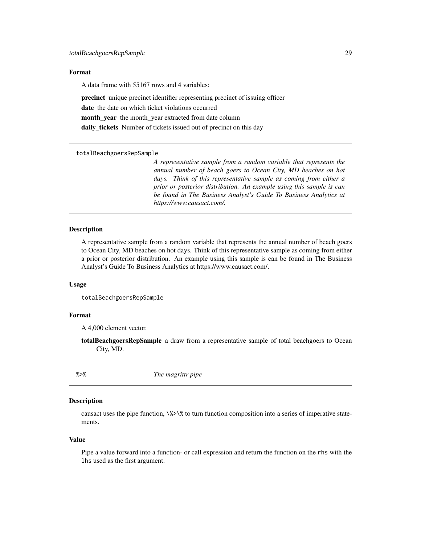#### <span id="page-28-0"></span>Format

A data frame with 55167 rows and 4 variables:

precinct unique precinct identifier representing precinct of issuing officer date the date on which ticket violations occurred month\_year the month\_year extracted from date column daily\_tickets Number of tickets issued out of precinct on this day

totalBeachgoersRepSample

*A representative sample from a random variable that represents the annual number of beach goers to Ocean City, MD beaches on hot days. Think of this representative sample as coming from either a prior or posterior distribution. An example using this sample is can be found in The Business Analyst's Guide To Business Analytics at https://www.causact.com/.*

# Description

A representative sample from a random variable that represents the annual number of beach goers to Ocean City, MD beaches on hot days. Think of this representative sample as coming from either a prior or posterior distribution. An example using this sample is can be found in The Business Analyst's Guide To Business Analytics at https://www.causact.com/.

#### Usage

totalBeachgoersRepSample

#### Format

A 4,000 element vector.

**totalBeachgoersRepSample** a draw from a representative sample of total beachgoers to Ocean City, MD.

%>% *The magrittr pipe*

#### Description

causact uses the pipe function, \%>\% to turn function composition into a series of imperative statements.

#### Value

Pipe a value forward into a function- or call expression and return the function on the rhs with the lhs used as the first argument.